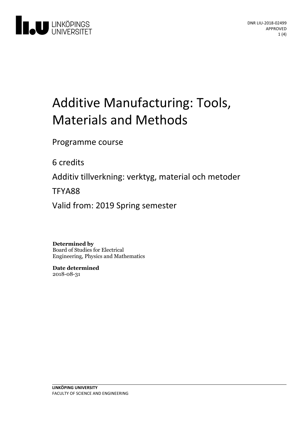

# Additive Manufacturing: Tools, Materials and Methods

Programme course

6 credits

Additiv tillverkning: verktyg, material och metoder

TFYA88

Valid from: 2019 Spring semester

**Determined by** Board of Studies for Electrical Engineering, Physics and Mathematics

**Date determined** 2018-08-31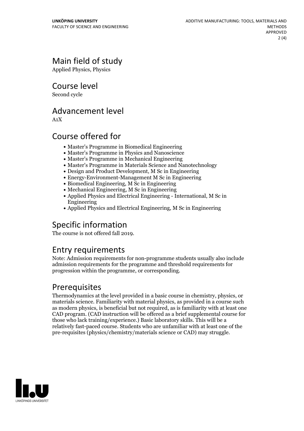# Main field of study

Applied Physics, Physics

Course level

Second cycle

#### Advancement level

A1X

### Course offered for

- Master's Programme in Biomedical Engineering
- Master's Programme in Physics and Nanoscience
- Master's Programme in Mechanical Engineering
- Master's Programme in Materials Science and Nanotechnology
- Design and Product Development, M Sc in Engineering
- Energy-Environment-Management M Sc in Engineering
- Biomedical Engineering, M Sc in Engineering
- Mechanical Engineering, M Sc in Engineering
- Applied Physics and Electrical Engineering International, M Sc in Engineering
- Applied Physics and Electrical Engineering, M Sc in Engineering

# Specific information

The course is not offered fall 2019.

#### Entry requirements

Note: Admission requirements for non-programme students usually also include admission requirements for the programme and threshold requirements for progression within the programme, or corresponding.

#### Prerequisites

Thermodynamics at the level provided in a basic course in chemistry, physics, or materials science. Familiarity with material physics, as provided in a course such as modern physics, is beneficial but not required, as is familiarity with at least one CAD program. (CAD instruction will be offered as a brief supplemental course for those who lack training/experience.) Basic laboratory skills. This will be a relatively fast-paced course. Students who are unfamiliar with at least one ofthe pre-requisites (physics/chemistry/materials science or CAD) may struggle.

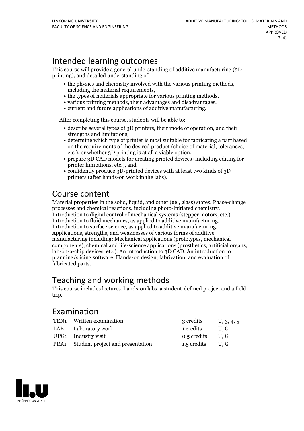## Intended learning outcomes

This course will provide <sup>a</sup> general understanding of additive manufacturing (3D- printing), and detailed understanding of:

- the physics and chemistry involved with the various printing methods, including the material requirements,<br>
the types of materials appropriate for various printing methods,<br>
various printing methods, their advantage
- 
- 
- 

After completing this course, students will be able to:

- $\bullet$  describe several types of 3D printers, their mode of operation, and their strengths and limitations,<br>• determine which type of printer is most suitable for fabricating a part based
- on the requirements of the desired product (choice of material, tolerances, etc.), or whether 3D printing is at all a viable option, <br>• prepare 3D CAD models for creating printed devices (including editing for
- printer limitations, etc.), and
- confidently produce 3D-printed devices with at least two kinds of 3D printers (after hands-on work in the labs).

#### Course content

Material properties in the solid, liquid, and other (gel, glass) states. Phase-change processes and chemical reactions, including photo-initiated chemistry. Introduction to digital control of mechanical systems (stepper motors, etc.) Introduction to fluid mechanics, as applied to additive manufacturing. Introduction to surface science, as applied to additive manufacturing. Applications, strengths, and weaknesses of various forms of additive manufacturing including: Mechanical applications (prototypes, mechanical components), chemical and life-science applications (prosthetics, artificial organs, lab-on-a-chip devices, etc.). An introduction to 3D CAD. An introduction to planning/slicing software. Hands-on design, fabrication, and evaluation of fabricated parts.

#### Teaching and working methods

This course includes lectures, hands-on labs,a student-defined project and a field trip.

#### Examination

| TEN1 Written examination              | 3 credits          | U, 3, 4, 5 |
|---------------------------------------|--------------------|------------|
| LAB1 Laboratory work                  | 1 credits          | U.G        |
| UPG1 Industry visit                   | $0.5$ credits U, G |            |
| PRA1 Student project and presentation | $1.5$ credits U, G |            |
|                                       |                    |            |